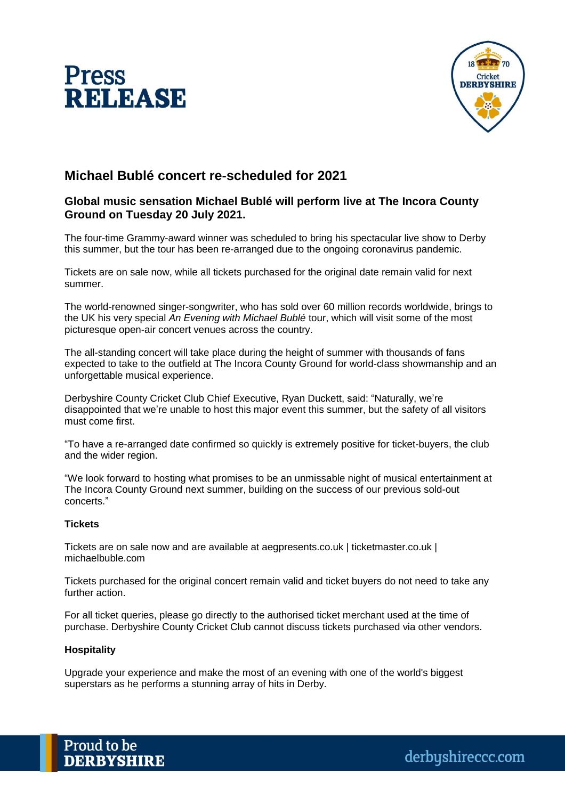



# **Michael Bublé concert re-scheduled for 2021**

## **Global music sensation Michael Bublé will perform live at The Incora County Ground on Tuesday 20 July 2021.**

The four-time Grammy-award winner was scheduled to bring his spectacular live show to Derby this summer, but the tour has been re-arranged due to the ongoing coronavirus pandemic.

Tickets are on sale now, while all tickets purchased for the original date remain valid for next summer.

The world-renowned singer-songwriter, who has sold over 60 million records worldwide, brings to the UK his very special *An Evening with Michael Bublé* tour, which will visit some of the most picturesque open-air concert venues across the country.

The all-standing concert will take place during the height of summer with thousands of fans expected to take to the outfield at The Incora County Ground for world-class showmanship and an unforgettable musical experience.

Derbyshire County Cricket Club Chief Executive, Ryan Duckett, said: "Naturally, we're disappointed that we're unable to host this major event this summer, but the safety of all visitors must come first.

"To have a re-arranged date confirmed so quickly is extremely positive for ticket-buyers, the club and the wider region.

"We look forward to hosting what promises to be an unmissable night of musical entertainment at The Incora County Ground next summer, building on the success of our previous sold-out concerts."

### **Tickets**

Tickets are on sale now and are available at aegpresents.co.uk | ticketmaster.co.uk | michaelbuble.com

Tickets purchased for the original concert remain valid and ticket buyers do not need to take any further action.

For all ticket queries, please go directly to the authorised ticket merchant used at the time of purchase. Derbyshire County Cricket Club cannot discuss tickets purchased via other vendors.

### **Hospitality**

Upgrade your experience and make the most of an evening with one of the world's biggest superstars as he performs a stunning array of hits in Derby.